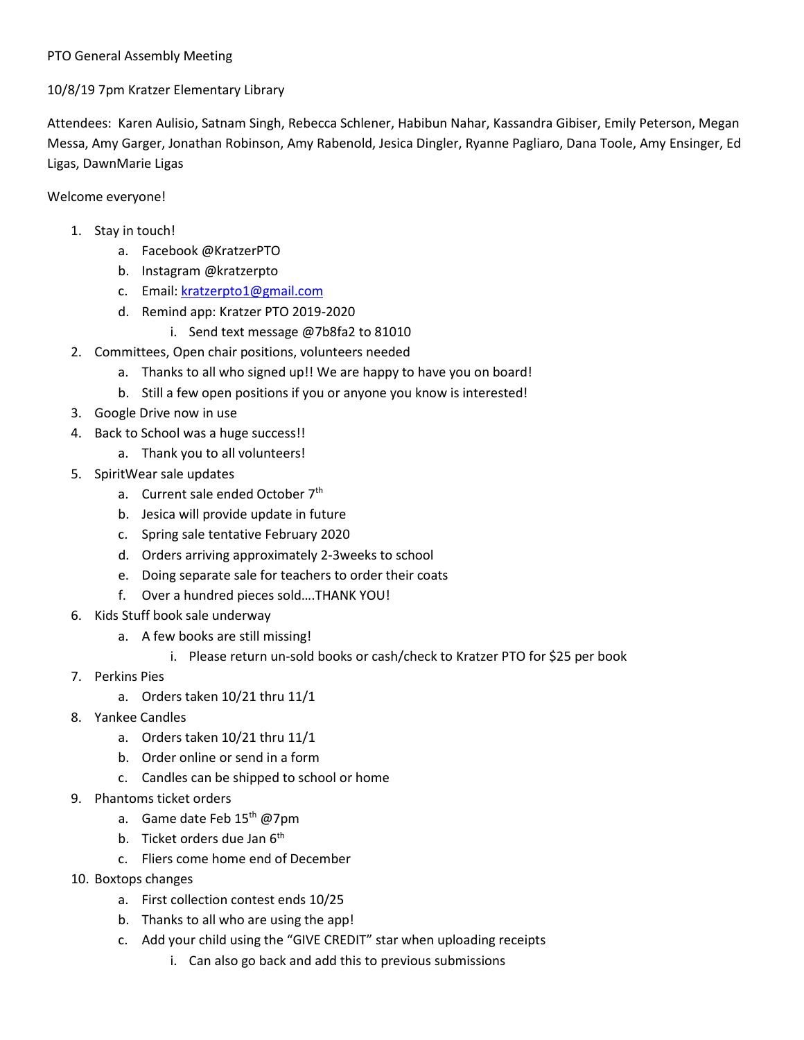## PTO General Assembly Meeting

## 10/8/19 7pm Kratzer Elementary Library

Attendees: Karen Aulisio, Satnam Singh, Rebecca Schlener, Habibun Nahar, Kassandra Gibiser, Emily Peterson, Megan Messa, Amy Garger, Jonathan Robinson, Amy Rabenold, Jesica Dingler, Ryanne Pagliaro, Dana Toole, Amy Ensinger, Ed Ligas, DawnMarie Ligas

## Welcome everyone!

- 1. Stay in touch!
	- a. Facebook @KratzerPTO
	- b. Instagram @kratzerpto
	- c. Email: [kratzerpto1@gmail.com](mailto:kratzerpto1@gmail.com)
	- d. Remind app: Kratzer PTO 2019-2020
		- i. Send text message @7b8fa2 to 81010
- 2. Committees, Open chair positions, volunteers needed
	- a. Thanks to all who signed up!! We are happy to have you on board!
	- b. Still a few open positions if you or anyone you know is interested!
- 3. Google Drive now in use
- 4. Back to School was a huge success!!
	- a. Thank you to all volunteers!
- 5. SpiritWear sale updates
	- a. Current sale ended October 7<sup>th</sup>
	- b. Jesica will provide update in future
	- c. Spring sale tentative February 2020
	- d. Orders arriving approximately 2-3weeks to school
	- e. Doing separate sale for teachers to order their coats
	- f. Over a hundred pieces sold….THANK YOU!
- 6. Kids Stuff book sale underway
	- a. A few books are still missing!
		- i. Please return un-sold books or cash/check to Kratzer PTO for \$25 per book
- 7. Perkins Pies
	- a. Orders taken 10/21 thru 11/1
- 8. Yankee Candles
	- a. Orders taken 10/21 thru 11/1
	- b. Order online or send in a form
	- c. Candles can be shipped to school or home
- 9. Phantoms ticket orders
	- a. Game date Feb 15<sup>th</sup> @7pm
	- b. Ticket orders due Jan 6<sup>th</sup>
	- c. Fliers come home end of December
- 10. Boxtops changes
	- a. First collection contest ends 10/25
	- b. Thanks to all who are using the app!
	- c. Add your child using the "GIVE CREDIT" star when uploading receipts
		- i. Can also go back and add this to previous submissions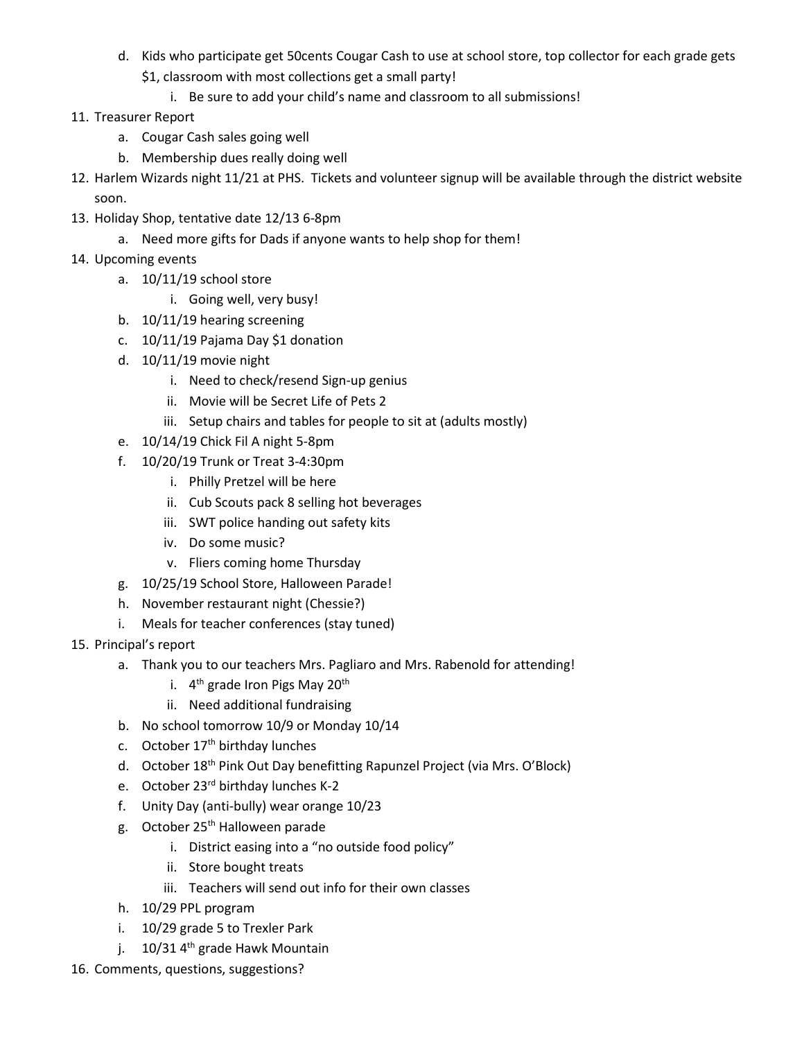- d. Kids who participate get 50cents Cougar Cash to use at school store, top collector for each grade gets \$1, classroom with most collections get a small party!
	- i. Be sure to add your child's name and classroom to all submissions!
- 11. Treasurer Report
	- a. Cougar Cash sales going well
	- b. Membership dues really doing well
- 12. Harlem Wizards night 11/21 at PHS. Tickets and volunteer signup will be available through the district website soon.
- 13. Holiday Shop, tentative date 12/13 6-8pm
	- a. Need more gifts for Dads if anyone wants to help shop for them!
- 14. Upcoming events
	- a. 10/11/19 school store
		- i. Going well, very busy!
	- b. 10/11/19 hearing screening
	- c. 10/11/19 Pajama Day \$1 donation
	- d. 10/11/19 movie night
		- i. Need to check/resend Sign-up genius
		- ii. Movie will be Secret Life of Pets 2
		- iii. Setup chairs and tables for people to sit at (adults mostly)
	- e. 10/14/19 Chick Fil A night 5-8pm
	- f. 10/20/19 Trunk or Treat 3-4:30pm
		- i. Philly Pretzel will be here
		- ii. Cub Scouts pack 8 selling hot beverages
		- iii. SWT police handing out safety kits
		- iv. Do some music?
		- v. Fliers coming home Thursday
	- g. 10/25/19 School Store, Halloween Parade!
	- h. November restaurant night (Chessie?)
	- i. Meals for teacher conferences (stay tuned)
- 15. Principal's report
	- a. Thank you to our teachers Mrs. Pagliaro and Mrs. Rabenold for attending!
		- i.  $4<sup>th</sup>$  grade Iron Pigs May 20<sup>th</sup>
		- ii. Need additional fundraising
	- b. No school tomorrow 10/9 or Monday 10/14
	- c. October  $17<sup>th</sup>$  birthday lunches
	- d. October 18<sup>th</sup> Pink Out Day benefitting Rapunzel Project (via Mrs. O'Block)
	- e. October 23<sup>rd</sup> birthday lunches K-2
	- f. Unity Day (anti-bully) wear orange 10/23
	- g. October 25<sup>th</sup> Halloween parade
		- i. District easing into a "no outside food policy"
		- ii. Store bought treats
		- iii. Teachers will send out info for their own classes
	- h. 10/29 PPL program
	- i. 10/29 grade 5 to Trexler Park
	- j.  $10/31$  4<sup>th</sup> grade Hawk Mountain
- 16. Comments, questions, suggestions?